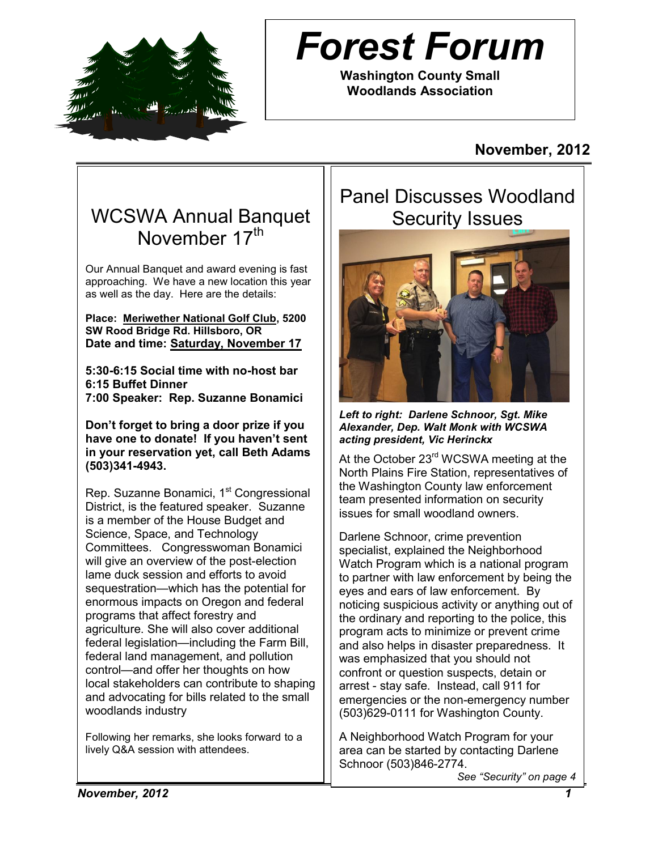

# *Forest Forum*

**Washington County Small Woodlands Association**

# **November, 2012**

# WCSWA Annual Banquet November 17th

Our Annual Banquet and award evening is fast approaching. We have a new location this year as well as the day. Here are the details:

**Place: Meriwether National Golf Club, 5200 SW Rood Bridge Rd. Hillsboro, OR Date and time: Saturday, November 17**

**5:30-6:15 Social time with no-host bar 6:15 Buffet Dinner 7:00 Speaker: Rep. Suzanne Bonamici**

**Don't forget to bring a door prize if you have one to donate! If you haven't sent in your reservation yet, call Beth Adams (503)341-4943.**

Rep. Suzanne Bonamici, 1<sup>st</sup> Congressional District, is the featured speaker. Suzanne is a member of the House Budget and Science, Space, and Technology Committees. Congresswoman Bonamici will give an overview of the post-election lame duck session and efforts to avoid sequestration—which has the potential for enormous impacts on Oregon and federal programs that affect forestry and agriculture. She will also cover additional federal legislation—including the Farm Bill, federal land management, and pollution control—and offer her thoughts on how local stakeholders can contribute to shaping and advocating for bills related to the small woodlands industry

Following her remarks, she looks forward to a lively Q&A session with attendees.

# Panel Discusses Woodland Security Issues



*Left to right: Darlene Schnoor, Sgt. Mike Alexander, Dep. Walt Monk with WCSWA acting president, Vic Herinckx*

At the October 23<sup>rd</sup> WCSWA meeting at the North Plains Fire Station, representatives of the Washington County law enforcement team presented information on security issues for small woodland owners.

Darlene Schnoor, crime prevention specialist, explained the Neighborhood Watch Program which is a national program to partner with law enforcement by being the eyes and ears of law enforcement. By noticing suspicious activity or anything out of the ordinary and reporting to the police, this program acts to minimize or prevent crime and also helps in disaster preparedness. It was emphasized that you should not confront or question suspects, detain or arrest - stay safe. Instead, call 911 for emergencies or the non-emergency number (503)629-0111 for Washington County.

A Neighborhood Watch Program for your area can be started by contacting Darlene Schnoor (503)846-2774.

*See "Security" on page 4*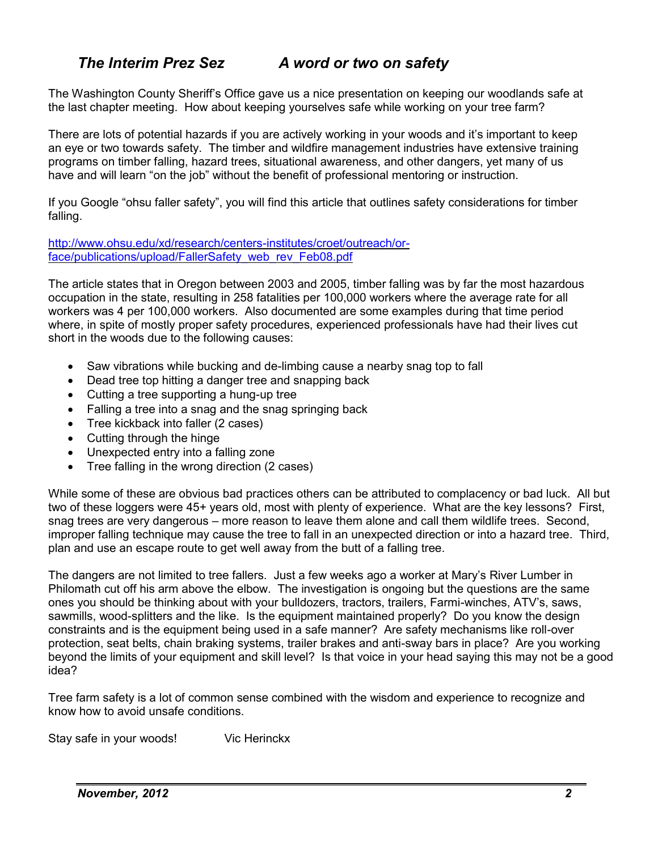# *The Interim Prez Sez A word or two on safety*

The Washington County Sheriff's Office gave us a nice presentation on keeping our woodlands safe at the last chapter meeting. How about keeping yourselves safe while working on your tree farm?

There are lots of potential hazards if you are actively working in your woods and it's important to keep an eye or two towards safety. The timber and wildfire management industries have extensive training programs on timber falling, hazard trees, situational awareness, and other dangers, yet many of us have and will learn "on the job" without the benefit of professional mentoring or instruction.

If you Google "ohsu faller safety", you will find this article that outlines safety considerations for timber falling.

[http://www.ohsu.edu/xd/research/centers-institutes/croet/outreach/or](http://www.ohsu.edu/xd/research/centers-institutes/croet/outreach/or-face/publications/upload/FallerSafety_web_rev_Feb08.pdf)[face/publications/upload/FallerSafety\\_web\\_rev\\_Feb08.pdf](http://www.ohsu.edu/xd/research/centers-institutes/croet/outreach/or-face/publications/upload/FallerSafety_web_rev_Feb08.pdf)

The article states that in Oregon between 2003 and 2005, timber falling was by far the most hazardous occupation in the state, resulting in 258 fatalities per 100,000 workers where the average rate for all workers was 4 per 100,000 workers. Also documented are some examples during that time period where, in spite of mostly proper safety procedures, experienced professionals have had their lives cut short in the woods due to the following causes:

- Saw vibrations while bucking and de-limbing cause a nearby snag top to fall
- Dead tree top hitting a danger tree and snapping back
- Cutting a tree supporting a hung-up tree
- Falling a tree into a snag and the snag springing back
- Tree kickback into faller (2 cases)
- Cutting through the hinge
- Unexpected entry into a falling zone
- Tree falling in the wrong direction (2 cases)

While some of these are obvious bad practices others can be attributed to complacency or bad luck. All but two of these loggers were 45+ years old, most with plenty of experience. What are the key lessons? First, snag trees are very dangerous – more reason to leave them alone and call them wildlife trees. Second, improper falling technique may cause the tree to fall in an unexpected direction or into a hazard tree. Third, plan and use an escape route to get well away from the butt of a falling tree.

The dangers are not limited to tree fallers. Just a few weeks ago a worker at Mary's River Lumber in Philomath cut off his arm above the elbow. The investigation is ongoing but the questions are the same ones you should be thinking about with your bulldozers, tractors, trailers, Farmi-winches, ATV's, saws, sawmills, wood-splitters and the like. Is the equipment maintained properly? Do you know the design constraints and is the equipment being used in a safe manner? Are safety mechanisms like roll-over protection, seat belts, chain braking systems, trailer brakes and anti-sway bars in place? Are you working beyond the limits of your equipment and skill level? Is that voice in your head saying this may not be a good idea?

Tree farm safety is a lot of common sense combined with the wisdom and experience to recognize and know how to avoid unsafe conditions.

Stay safe in your woods! Vic Herinckx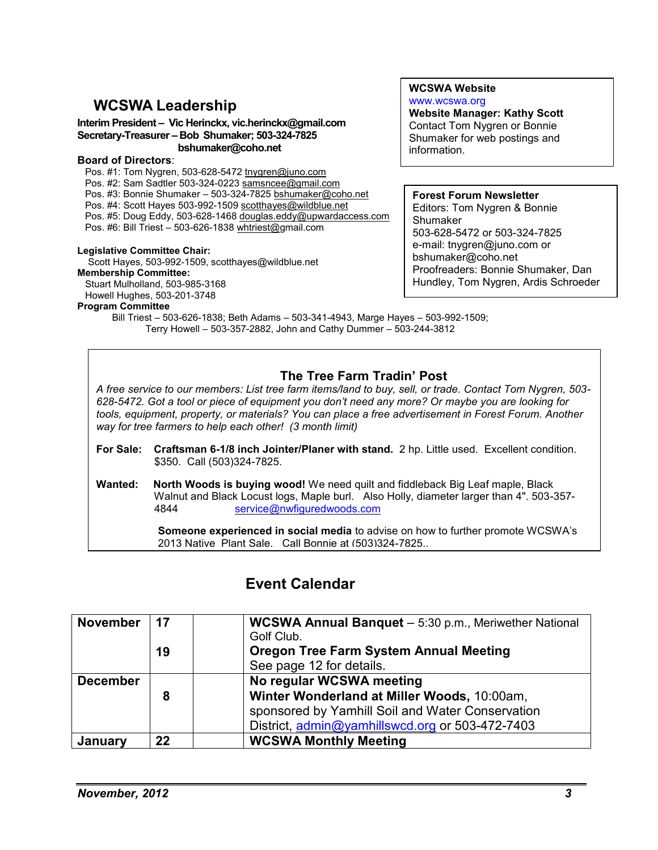# **WCSWA Leadership**

#### **Interim President – Vic Herinckx, vic.herinckx@gmail.com Secretary-Treasurer – Bob Shumaker; 503-324-7825 bshumaker@coho.net**

#### **Board of Directors**:

Pos. #1: Tom Nygren, 503-628-5472 tnygren@juno.com Pos. #2: Sam Sadtler 503-324-0223 samsncee@gmail.com Pos. #3: Bonnie Shumaker – 503-324-7825 [bshumaker@coho.net](mailto:bshumaker@coho.net) Pos. #4: Scott Hayes 503-992-1509 [scotthayes@wildblue.net](mailto:scotthayes@wildblue.net) Pos. #5: Doug Eddy, 503-628-1468 [douglas.eddy@upwardaccess.com](mailto:douglas.eddy@upwardaccess.com) Pos. #6: Bill Triest – 503-626-1838 [whtriest@g](mailto:whtriest@)mail.com

#### **Legislative Committee Chair:**

 Scott Hayes, 503-992-1509, scotthayes@wildblue.net **Membership Committee:** 

Stuart Mulholland, 503-985-3168 Howell Hughes, 503-201-3748

#### **Program Committee**

**Website Manager: Kathy Scott**

Contact Tom Nygren or Bonnie Shumaker for web postings and information.

**WCSWA Website** [www.wcswa.org](http://www.homestead.com/WashCty/OSWA/index..html)

#### **Forest Forum Newsletter** Editors: Tom Nygren & Bonnie Shumaker 503-628-5472 or 503-324-7825 e-mail: [tnygren@juno.com](mailto:tnygren@juno.com) or [bshumaker@coho.net](mailto:bshumaker@coho.net) Proofreaders: Bonnie Shumaker, Dan Hundley, Tom Nygren, Ardis Schroeder

Bill Triest – 503-626-1838; Beth Adams – 503-341-4943, Marge Hayes – 503-992-1509; Terry Howell – 503-357-2882, John and Cathy Dummer – 503-244-3812

### **The Tree Farm Tradin' Post**

*A free service to our members: List tree farm items/land to buy, sell, or trade. Contact Tom Nygren, 503- 628-5472. Got a tool or piece of equipment you don't need any more? Or maybe you are looking for tools, equipment, property, or materials? You can place a free advertisement in Forest Forum. Another way for tree farmers to help each other! (3 month limit)*

- **For Sale: Craftsman 6-1/8 inch Jointer/Planer with stand.** 2 hp. Little used. Excellent condition. \$350. Call (503)324-7825.
- **Wanted: North Woods is buying wood!** We need quilt and fiddleback Big Leaf maple, Black Walnut and Black Locust logs, Maple burl. Also Holly, diameter larger than 4". 503-357- 4844 [service@nwfiguredwoods.com](http://webmailbb.juno.com/webmail/new/5?session_redirect=true&userinfo=0bd5b0b50933bef743c3ff3dfe232ce0&count=1341701433&cf=SP2&randid=84047996)

**Someone experienced in social media** to advise on how to further promote WCSWA's 2013 Native Plant Sale. Call Bonnie at (503)324-7825..

# **Event Calendar**

| <b>November</b> | 17 | <b>WCSWA Annual Banquet</b> - 5:30 p.m., Meriwether National |
|-----------------|----|--------------------------------------------------------------|
|                 |    | Golf Club.                                                   |
|                 | 19 | <b>Oregon Tree Farm System Annual Meeting</b>                |
|                 |    | See page 12 for details.                                     |
| <b>December</b> |    | No regular WCSWA meeting                                     |
|                 | 8  | Winter Wonderland at Miller Woods, 10:00am,                  |
|                 |    | sponsored by Yamhill Soil and Water Conservation             |
|                 |    | District, admin@yamhillswcd.org or 503-472-7403              |
| January         | 22 | <b>WCSWA Monthly Meeting</b>                                 |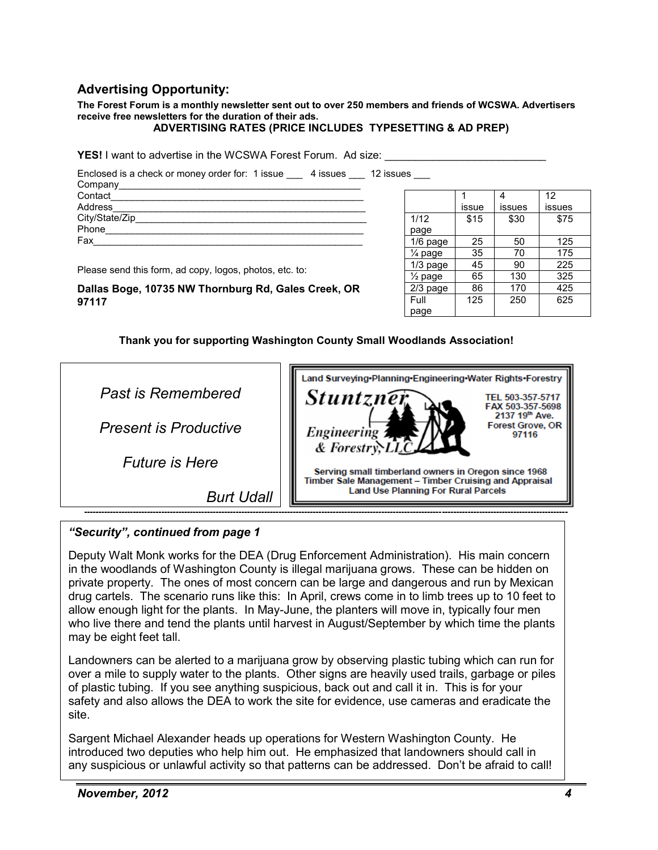### **Advertising Opportunity:**

**The Forest Forum is a monthly newsletter sent out to over 250 members and friends of WCSWA. Advertisers receive free newsletters for the duration of their ads.** 

#### **ADVERTISING RATES (PRICE INCLUDES TYPESETTING & AD PREP)**

**YES!** I want to advertise in the WCSWA Forest Forum. Ad size: \_\_\_\_\_\_\_\_\_\_\_\_\_\_\_\_\_\_\_\_\_\_\_\_\_

Enclosed is a check or money order for: 1 issue \_\_\_ 4 issues \_\_\_ 12 issues \_\_\_ Company Contact Address\_\_\_\_\_\_\_\_\_\_\_\_\_\_\_\_\_\_\_\_\_\_\_\_\_\_\_\_\_\_\_\_\_\_\_\_\_\_\_\_\_\_\_\_\_\_\_ City/State/Zip Phone\_\_\_\_\_\_\_\_\_\_\_\_\_\_\_\_\_\_\_\_\_\_\_\_\_\_\_\_\_\_\_\_\_\_\_\_\_\_\_\_\_\_\_\_\_\_\_\_ Fax\_\_\_\_\_\_\_\_\_\_\_\_\_\_\_\_\_\_\_\_\_\_\_\_\_\_\_\_\_\_\_\_\_\_\_\_\_\_\_\_\_\_\_\_\_\_\_\_\_\_

Please send this form, ad copy, logos, photos, etc. to:

| Dallas Boge, 10735 NW Thornburg Rd, Gales Creek, OR |  |  |  |
|-----------------------------------------------------|--|--|--|
| 97117                                               |  |  |  |

|                    |       |        | 12     |
|--------------------|-------|--------|--------|
|                    | issue | issues | issues |
| 1/12               | \$15  | \$30   | \$75   |
| page               |       |        |        |
| $1/6$ page         | 25    | 50     | 125    |
| 1⁄4 page           | 35    | 70     | 175    |
| 1/3 page           | 45    | 90     | 225    |
| $\frac{1}{2}$ page | 65    | 130    | 325    |
| 2/3 page           | 86    | 170    | 425    |
| Full               | 125   | 250    | 625    |
| page               |       |        |        |

 **Thank you for supporting Washington County Small Woodlands Association!** 



 *"Security", continued from page 1*

Deputy Walt Monk works for the DEA (Drug Enforcement Administration). His main concern in the woodlands of Washington County is illegal marijuana grows. These can be hidden on private property. The ones of most concern can be large and dangerous and run by Mexican drug cartels. The scenario runs like this: In April, crews come in to limb trees up to 10 feet to allow enough light for the plants. In May-June, the planters will move in, typically four men who live there and tend the plants until harvest in August/September by which time the plants may be eight feet tall.

Landowners can be alerted to a marijuana grow by observing plastic tubing which can run for over a mile to supply water to the plants. Other signs are heavily used trails, garbage or piles of plastic tubing. If you see anything suspicious, back out and call it in. This is for your safety and also allows the DEA to work the site for evidence, use cameras and eradicate the site.

Sargent Michael Alexander heads up operations for Western Washington County. He introduced two deputies who help him out. He emphasized that landowners should call in any suspicious or unlawful activity so that patterns can be addressed. Don't be afraid to call!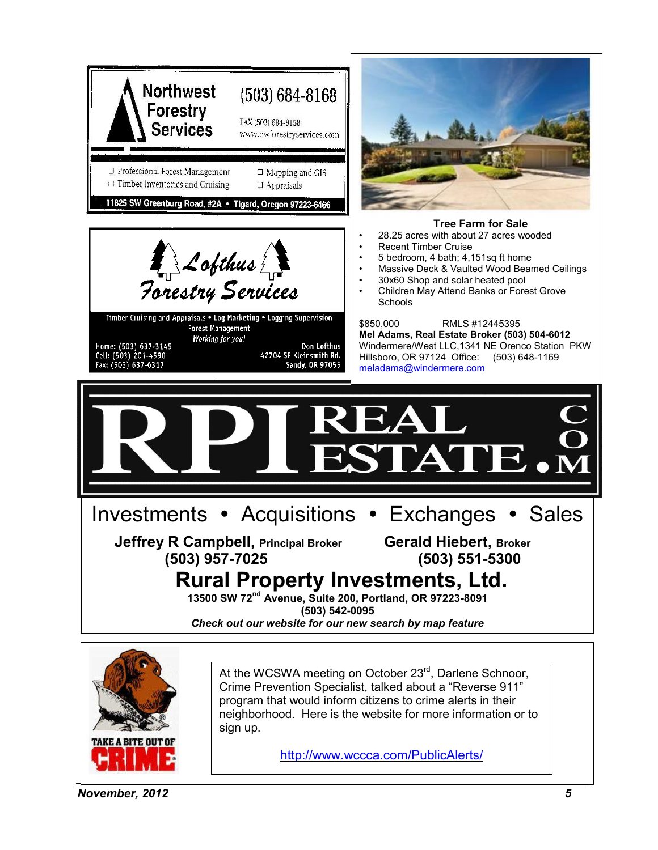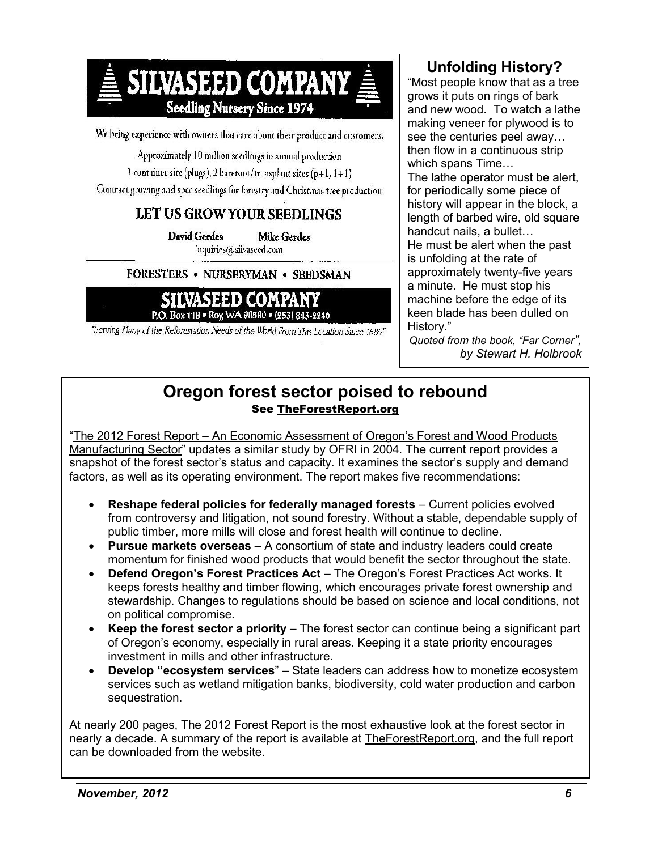

We bring experience with owners that care about their product and customers.

Approximately 10 million seedlings in annual production

1 container site (plugs), 2 bareroot/transplant sites (p+1,  $I+1$ )

Contract growing and spec seedlings for forestry and Christmas tree production

### LET US GROW YOUR SEEDLINGS

David Gerdes Mike Gerdes inquiries(@silvasced.com

#### FORESTERS . NURSERYMAN . SEEDSMAN



"Serving Many of the Reforestation Needs of the World From This Location Since 1889"

## **Unfolding History?**

"Most people know that as a tree grows it puts on rings of bark and new wood. To watch a lathe making veneer for plywood is to see the centuries peel away… then flow in a continuous strip which spans Time… The lathe operator must be alert, for periodically some piece of history will appear in the block, a length of barbed wire, old square handcut nails, a bullet… He must be alert when the past is unfolding at the rate of approximately twenty-five years a minute. He must stop his machine before the edge of its keen blade has been dulled on

*Quoted from the book, "Far Corner", by Stewart H. Holbrook*

History."

### **Oregon forest sector poised to rebound** See [TheForestReport.org](http://www.theforestreport.org/)

"The 2012 Forest Report – [An Economic Assessment of Oregon's Forest and Wood Products](http://www.theforestreport.org/)  [Manufacturing Sector"](http://www.theforestreport.org/) updates a similar study by OFRI in 2004. The current report provides a snapshot of the forest sector's status and capacity. It examines the sector's supply and demand factors, as well as its operating environment. The report makes five recommendations:

- **Reshape federal policies for federally managed forests** Current policies evolved from controversy and litigation, not sound forestry. Without a stable, dependable supply of public timber, more mills will close and forest health will continue to decline.
- **Pursue markets overseas** A consortium of state and industry leaders could create momentum for finished wood products that would benefit the sector throughout the state.
- **Defend Oregon's Forest Practices Act**  The Oregon's Forest Practices Act works. It keeps forests healthy and timber flowing, which encourages private forest ownership and stewardship. Changes to regulations should be based on science and local conditions, not on political compromise.
- **Keep the forest sector a priority** The forest sector can continue being a significant part of Oregon's economy, especially in rural areas. Keeping it a state priority encourages investment in mills and other infrastructure.
- **Develop "ecosystem services**" State leaders can address how to monetize ecosystem services such as wetland mitigation banks, biodiversity, cold water production and carbon sequestration.

At nearly 200 pages, The 2012 Forest Report is the most exhaustive look at the forest sector in nearly a decade. A summary of the report is available at [TheForestReport.org,](http://www.theforestreport.org/) and the full report can be downloaded from the website.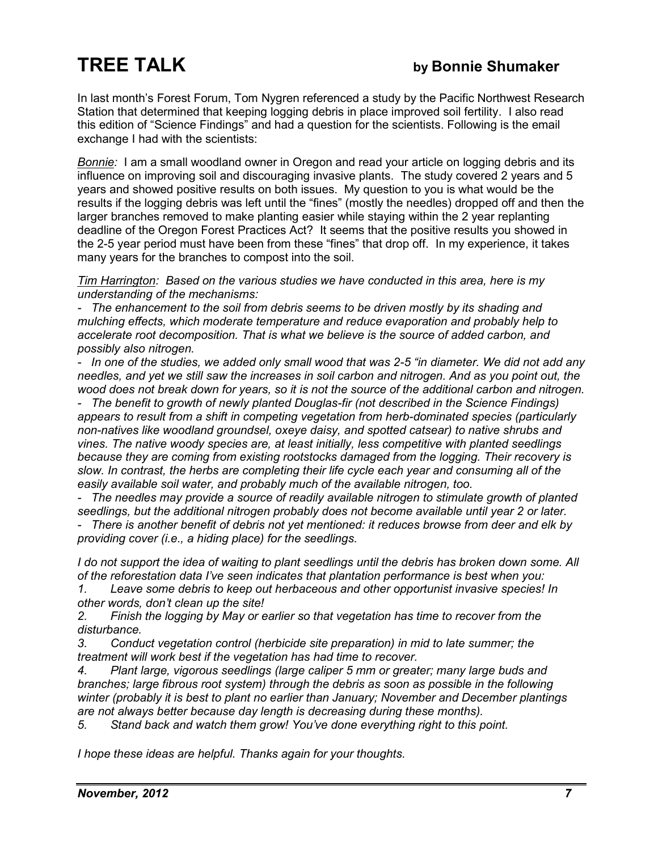In last month's Forest Forum, Tom Nygren referenced a study by the Pacific Northwest Research Station that determined that keeping logging debris in place improved soil fertility. I also read this edition of "Science Findings" and had a question for the scientists. Following is the email exchange I had with the scientists:

*Bonnie:* I am a small woodland owner in Oregon and read your article on logging debris and its influence on improving soil and discouraging invasive plants. The study covered 2 years and 5 years and showed positive results on both issues. My question to you is what would be the results if the logging debris was left until the "fines" (mostly the needles) dropped off and then the larger branches removed to make planting easier while staying within the 2 year replanting deadline of the Oregon Forest Practices Act? It seems that the positive results you showed in the 2-5 year period must have been from these "fines" that drop off. In my experience, it takes many years for the branches to compost into the soil.

*Tim Harrington: Based on the various studies we have conducted in this area, here is my understanding of the mechanisms:* 

*- The enhancement to the soil from debris seems to be driven mostly by its shading and mulching effects, which moderate temperature and reduce evaporation and probably help to accelerate root decomposition. That is what we believe is the source of added carbon, and possibly also nitrogen.* 

*- In one of the studies, we added only small wood that was 2-5 "in diameter. We did not add any needles, and yet we still saw the increases in soil carbon and nitrogen. And as you point out, the wood does not break down for years, so it is not the source of the additional carbon and nitrogen.* 

*- The benefit to growth of newly planted Douglas-fir (not described in the Science Findings) appears to result from a shift in competing vegetation from herb-dominated species (particularly non-natives like woodland groundsel, oxeye daisy, and spotted catsear) to native shrubs and vines. The native woody species are, at least initially, less competitive with planted seedlings because they are coming from existing rootstocks damaged from the logging. Their recovery is slow. In contrast, the herbs are completing their life cycle each year and consuming all of the easily available soil water, and probably much of the available nitrogen, too.* 

*- The needles may provide a source of readily available nitrogen to stimulate growth of planted seedlings, but the additional nitrogen probably does not become available until year 2 or later.* 

*- There is another benefit of debris not yet mentioned: it reduces browse from deer and elk by providing cover (i.e., a hiding place) for the seedlings.* 

*I do not support the idea of waiting to plant seedlings until the debris has broken down some. All of the reforestation data I've seen indicates that plantation performance is best when you:* 

*1. Leave some debris to keep out herbaceous and other opportunist invasive species! In other words, don't clean up the site!* 

*2. Finish the logging by May or earlier so that vegetation has time to recover from the disturbance.* 

*3. Conduct vegetation control (herbicide site preparation) in mid to late summer; the treatment will work best if the vegetation has had time to recover.* 

*4. Plant large, vigorous seedlings (large caliper 5 mm or greater; many large buds and branches; large fibrous root system) through the debris as soon as possible in the following winter (probably it is best to plant no earlier than January; November and December plantings are not always better because day length is decreasing during these months).* 

*5. Stand back and watch them grow! You've done everything right to this point.* 

*I hope these ideas are helpful. Thanks again for your thoughts.*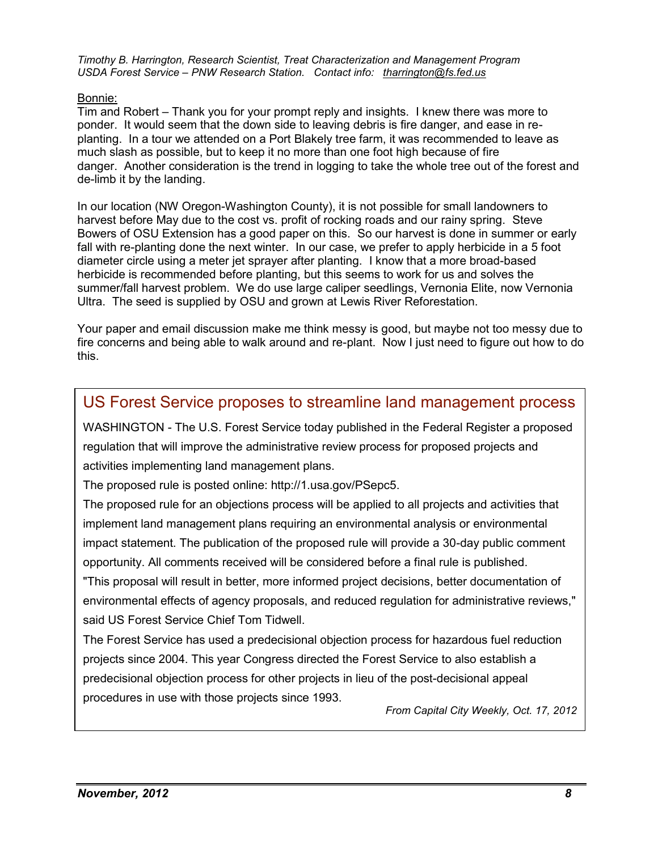*Timothy B. Harrington, Research Scientist, Treat Characterization and Management Program USDA Forest Service – PNW Research Station. Contact info: [tharrington@fs.fed.us](mailto:tharrington@fs.fed.us)*

#### Bonnie:

Tim and Robert – Thank you for your prompt reply and insights. I knew there was more to ponder. It would seem that the down side to leaving debris is fire danger, and ease in replanting. In a tour we attended on a Port Blakely tree farm, it was recommended to leave as much slash as possible, but to keep it no more than one foot high because of fire danger. Another consideration is the trend in logging to take the whole tree out of the forest and de-limb it by the landing.

In our location (NW Oregon-Washington County), it is not possible for small landowners to harvest before May due to the cost vs. profit of rocking roads and our rainy spring. Steve Bowers of OSU Extension has a good paper on this. So our harvest is done in summer or early fall with re-planting done the next winter. In our case, we prefer to apply herbicide in a 5 foot diameter circle using a meter jet sprayer after planting. I know that a more broad-based herbicide is recommended before planting, but this seems to work for us and solves the summer/fall harvest problem. We do use large caliper seedlings, Vernonia Elite, now Vernonia Ultra. The seed is supplied by OSU and grown at Lewis River Reforestation.

Your paper and email discussion make me think messy is good, but maybe not too messy due to fire concerns and being able to walk around and re-plant. Now I just need to figure out how to do this.

# US Forest Service proposes to streamline land management process

WASHINGTON - The U.S. Forest Service today published in the Federal Register a proposed regulation that will improve the administrative review process for proposed projects and activities implementing land management plans.

The proposed rule is posted online: http://1.usa.gov/PSepc5.

The proposed rule for an objections process will be applied to all projects and activities that implement land management plans requiring an environmental analysis or environmental impact statement. The publication of the proposed rule will provide a 30-day public comment opportunity. All comments received will be considered before a final rule is published.

"This proposal will result in better, more informed project decisions, better documentation of environmental effects of agency proposals, and reduced regulation for administrative reviews," said US Forest Service Chief Tom Tidwell.

The Forest Service has used a predecisional objection process for hazardous fuel reduction projects since 2004. This year Congress directed the Forest Service to also establish a predecisional objection process for other projects in lieu of the post-decisional appeal procedures in use with those projects since 1993.

*From Capital City Weekly, Oct. 17, 2012*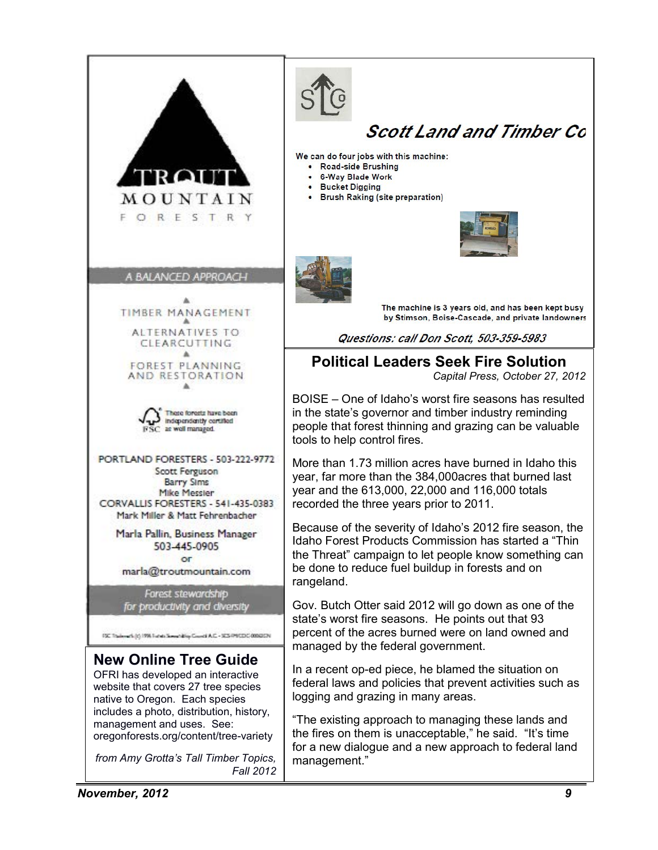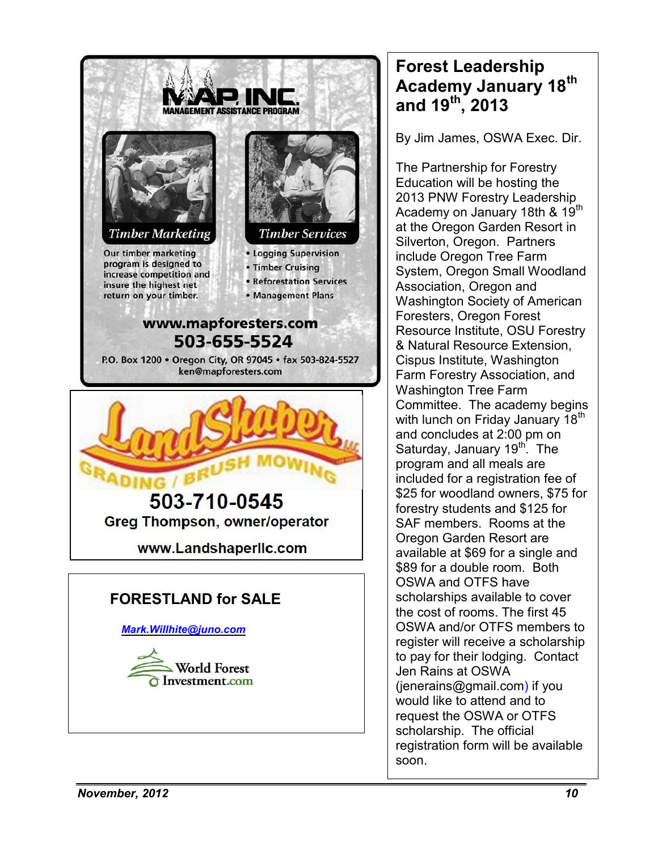

# **Forest Leadership Academy January 18th and 19th, 2013**

By Jim James, OSWA Exec. Dir.

The Partnership for Forestry Education will be hosting the 2013 PNW Forestry Leadership Academy on January 18th & 19<sup>th</sup> at the Oregon Garden Resort in Silverton, Oregon. Partners include Oregon Tree Farm System, Oregon Small Woodland Association, Oregon and Washington Society of American Foresters, Oregon Forest Resource Institute, OSU Forestry & Natural Resource Extension, Cispus Institute, Washington Farm Forestry Association, and Washington Tree Farm Committee. The academy begins with lunch on Friday January 18<sup>th</sup> and concludes at 2:00 pm on Saturday, January  $19<sup>th</sup>$ . The program and all meals are included for a registration fee of \$25 for woodland owners, \$75 for forestry students and \$125 for SAF members. Rooms at the Oregon Garden Resort are available at \$69 for a single and \$89 for a double room. Both OSWA and OTFS have scholarships available to cover the cost of rooms. The first 45 OSWA and/or OTFS members to register will receive a scholarship to pay for their lodging. Contact Jen Rains at OSWA [\(jenerains@gmail.com\)](mailto:jenerains@gmail.com) if you would like to attend and to request the OSWA or OTFS scholarship. The official registration form will be available soon.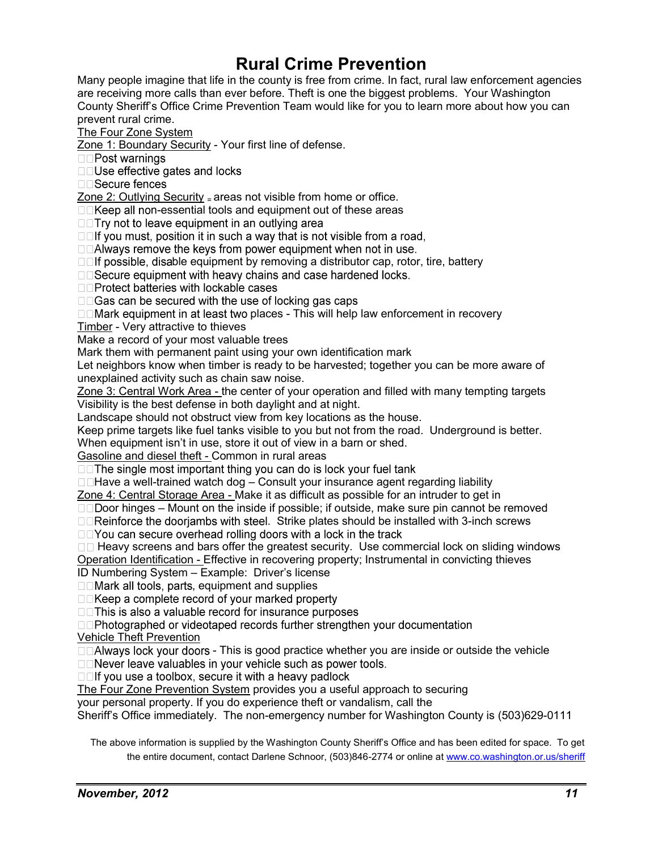# **Rural Crime Prevention**

Many people imagine that life in the county is free from crime. In fact, rural law enforcement agencies are receiving more calls than ever before. Theft is one the biggest problems. Your Washington County Sheriff's Office Crime Prevention Team would like for you to learn more about how you can prevent rural crime.

The Four Zone System

Zone 1: Boundary Security - Your first line of defense.

□□Post warnings

□□Use effective gates and locks

□□Secure fences

Zone 2: Outlying Security = areas not visible from home or office.

 $\Box\Box$  Keep all non-essential tools and equipment out of these areas

□□ Try not to leave equipment in an outlying area

□□If you must, position it in such a way that is not visible from a road,

□□Always remove the keys from power equipment when not in use.

 $\Box$  of possible, disable equipment by removing a distributor cap, rotor, tire, battery

□□Secure equipment with heavy chains and case hardened locks.

□□Protect batteries with lockable cases

□□Gas can be secured with the use of locking gas caps

 $\square$  Mark equipment in at least two places - This will help law enforcement in recovery

Timber - Very attractive to thieves

Make a record of your most valuable trees

Mark them with permanent paint using your own identification mark

Let neighbors know when timber is ready to be harvested; together you can be more aware of unexplained activity such as chain saw noise.

Zone 3: Central Work Area - the center of your operation and filled with many tempting targets Visibility is the best defense in both daylight and at night.

Landscape should not obstruct view from key locations as the house.

Keep prime targets like fuel tanks visible to you but not from the road. Underground is better.

When equipment isn't in use, store it out of view in a barn or shed.

Gasoline and diesel theft - Common in rural areas

□□ The single most important thing you can do is lock your fuel tank

 $\square$  Have a well-trained watch dog  $-$  Consult your insurance agent regarding liability

Zone 4: Central Storage Area - Make it as difficult as possible for an intruder to get in

 $\square$  Door hinges – Mount on the inside if possible; if outside, make sure pin cannot be removed

 $\Box$  Reinforce the dooriambs with steel. Strike plates should be installed with 3-inch screws

 $\Box$  You can secure overhead rolling doors with a lock in the track

 $\Box\Box$  Heavy screens and bars offer the greatest security. Use commercial lock on sliding windows Operation Identification - Effective in recovering property; Instrumental in convicting thieves

ID Numbering System – Example: Driver's license

 $\square$  Mark all tools, parts, equipment and supplies

□□Keep a complete record of your marked property

□□ This is also a valuable record for insurance purposes

□□Photographed or videotaped records further strengthen your documentation

Vehicle Theft Prevention

 $\Box$   $\Box$  Always lock your doors - This is good practice whether you are inside or outside the vehicle

□□Never leave valuables in your vehicle such as power tools.

 $\Box$  ou use a toolbox, secure it with a heavy padlock

The Four Zone Prevention System provides you a useful approach to securing

your personal property. If you do experience theft or vandalism, call the

Sheriff's Office immediately. The non-emergency number for Washington County is (503)629-0111

The above information is supplied by the Washington County Sheriff's Office and has been edited for space. To get the entire document, contact Darlene Schnoor, (503)846-2774 or online a[t www.co.washington.or.us/sheriff](http://www.co.washington.or.us/sheriff)